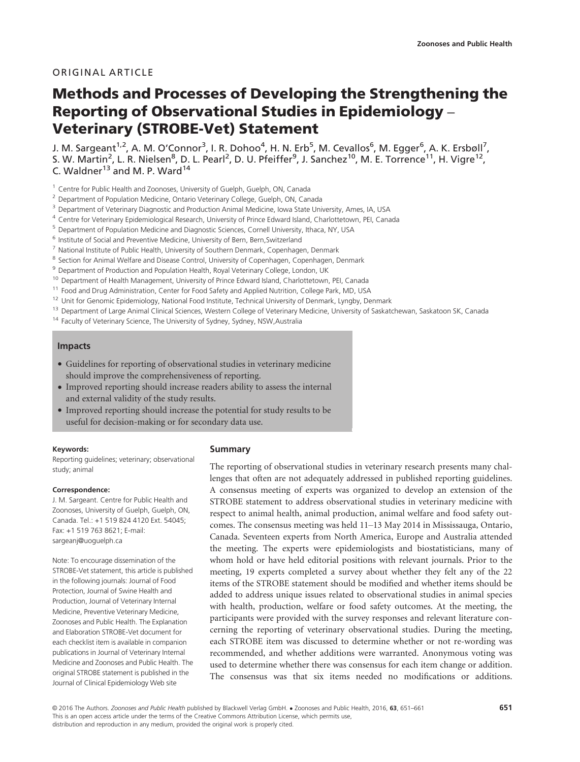# ORIGINAL ARTICLE

# Methods and Processes of Developing the Strengthening the Reporting of Observational Studies in Epidemiology – Veterinary (STROBE-Vet) Statement

J. M. Sargeant<sup>1,2</sup>, A. M. O'Connor<sup>3</sup>, I. R. Dohoo<sup>4</sup>, H. N. Erb<sup>5</sup>, M. Cevallos<sup>6</sup>, M. Egger<sup>6</sup>, A. K. Ersbøll<sup>7</sup>, S. W. Martin<sup>2</sup>, L. R. Nielsen<sup>8</sup>, D. L. Pearl<sup>2</sup>, D. U. Pfeiffer<sup>9</sup>, J. Sanchez<sup>10</sup>, M. E. Torrence<sup>11</sup>, H. Vigre<sup>12</sup>, C. Waldner<sup>13</sup> and M. P. Ward<sup>14</sup>

<sup>1</sup> Centre for Public Health and Zoonoses, University of Guelph, Guelph, ON, Canada

<sup>2</sup> Department of Population Medicine, Ontario Veterinary College, Guelph, ON, Canada

<sup>3</sup> Department of Veterinary Diagnostic and Production Animal Medicine, Iowa State University, Ames, IA, USA

<sup>4</sup> Centre for Veterinary Epidemiological Research, University of Prince Edward Island, Charlottetown, PEI, Canada

<sup>5</sup> Department of Population Medicine and Diagnostic Sciences, Cornell University, Ithaca, NY, USA

<sup>6</sup> Institute of Social and Preventive Medicine, University of Bern, Bern,Switzerland

<sup>7</sup> National Institute of Public Health, University of Southern Denmark, Copenhagen, Denmark

<sup>8</sup> Section for Animal Welfare and Disease Control, University of Copenhagen, Copenhagen, Denmark

<sup>9</sup> Department of Production and Population Health, Royal Veterinary College, London, UK

<sup>10</sup> Department of Health Management, University of Prince Edward Island, Charlottetown, PEI, Canada

<sup>11</sup> Food and Drug Administration, Center for Food Safety and Applied Nutrition, College Park, MD, USA

<sup>12</sup> Unit for Genomic Epidemiology, National Food Institute, Technical University of Denmark, Lyngby, Denmark

<sup>13</sup> Department of Large Animal Clinical Sciences, Western College of Veterinary Medicine, University of Saskatchewan, Saskatoon SK, Canada

<sup>14</sup> Faculty of Veterinary Science, The University of Sydney, Sydney, NSW, Australia

# Impacts

- Guidelines for reporting of observational studies in veterinary medicine should improve the comprehensiveness of reporting.
- Improved reporting should increase readers ability to assess the internal and external validity of the study results.
- Improved reporting should increase the potential for study results to be useful for decision-making or for secondary data use.

#### Keywords:

Reporting guidelines; veterinary; observational study; animal

#### Correspondence:

J. M. Sargeant. Centre for Public Health and Zoonoses, University of Guelph, Guelph, ON, Canada. Tel.: +1 519 824 4120 Ext. 54045; Fax: +1 519 763 8621; E-mail: sargeanj@uoguelph.ca

Note: To encourage dissemination of the STROBE-Vet statement, this article is published in the following journals: Journal of Food Protection, Journal of Swine Health and Production, Journal of Veterinary Internal Medicine, Preventive Veterinary Medicine, Zoonoses and Public Health. The Explanation and Elaboration STROBE-Vet document for each checklist item is available in companion publications in Journal of Veterinary Internal Medicine and Zoonoses and Public Health. The original STROBE statement is published in the Journal of Clinical Epidemiology Web site

# Summary

The reporting of observational studies in veterinary research presents many challenges that often are not adequately addressed in published reporting guidelines. A consensus meeting of experts was organized to develop an extension of the STROBE statement to address observational studies in veterinary medicine with respect to animal health, animal production, animal welfare and food safety outcomes. The consensus meeting was held 11–13 May 2014 in Mississauga, Ontario, Canada. Seventeen experts from North America, Europe and Australia attended the meeting. The experts were epidemiologists and biostatisticians, many of whom hold or have held editorial positions with relevant journals. Prior to the meeting, 19 experts completed a survey about whether they felt any of the 22 items of the STROBE statement should be modified and whether items should be added to address unique issues related to observational studies in animal species with health, production, welfare or food safety outcomes. At the meeting, the participants were provided with the survey responses and relevant literature concerning the reporting of veterinary observational studies. During the meeting, each STROBE item was discussed to determine whether or not re-wording was recommended, and whether additions were warranted. Anonymous voting was used to determine whether there was consensus for each item change or addition. The consensus was that six items needed no modifications or additions.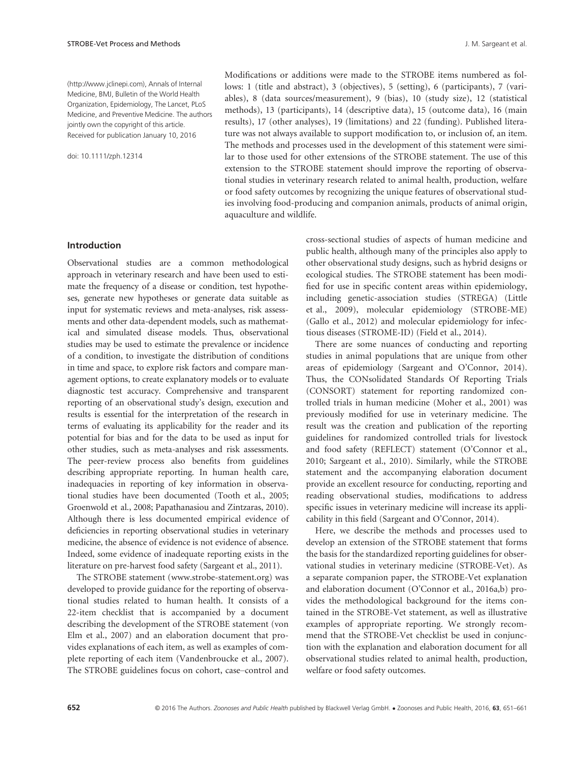[\(http://www.jclinepi.com\)](http://www.jclinepi.com), Annals of Internal Medicine, BMJ, Bulletin of the World Health Organization, Epidemiology, The Lancet, PLoS Medicine, and Preventive Medicine. The authors jointly own the copyright of this article. Received for publication January 10, 2016

doi: 10.1111/zph.12314

Modifications or additions were made to the STROBE items numbered as follows: 1 (title and abstract), 3 (objectives), 5 (setting), 6 (participants), 7 (variables), 8 (data sources/measurement), 9 (bias), 10 (study size), 12 (statistical methods), 13 (participants), 14 (descriptive data), 15 (outcome data), 16 (main results), 17 (other analyses), 19 (limitations) and 22 (funding). Published literature was not always available to support modification to, or inclusion of, an item. The methods and processes used in the development of this statement were similar to those used for other extensions of the STROBE statement. The use of this extension to the STROBE statement should improve the reporting of observational studies in veterinary research related to animal health, production, welfare or food safety outcomes by recognizing the unique features of observational studies involving food-producing and companion animals, products of animal origin, aquaculture and wildlife.

# Introduction

Observational studies are a common methodological approach in veterinary research and have been used to estimate the frequency of a disease or condition, test hypotheses, generate new hypotheses or generate data suitable as input for systematic reviews and meta-analyses, risk assessments and other data-dependent models, such as mathematical and simulated disease models. Thus, observational studies may be used to estimate the prevalence or incidence of a condition, to investigate the distribution of conditions in time and space, to explore risk factors and compare management options, to create explanatory models or to evaluate diagnostic test accuracy. Comprehensive and transparent reporting of an observational study's design, execution and results is essential for the interpretation of the research in terms of evaluating its applicability for the reader and its potential for bias and for the data to be used as input for other studies, such as meta-analyses and risk assessments. The peer-review process also benefits from guidelines describing appropriate reporting. In human health care, inadequacies in reporting of key information in observational studies have been documented (Tooth et al., 2005; Groenwold et al., 2008; Papathanasiou and Zintzaras, 2010). Although there is less documented empirical evidence of deficiencies in reporting observational studies in veterinary medicine, the absence of evidence is not evidence of absence. Indeed, some evidence of inadequate reporting exists in the literature on pre-harvest food safety (Sargeant et al., 2011).

The STROBE statement ([www.strobe-statement.org](http://www.strobe-statement.org)) was developed to provide guidance for the reporting of observational studies related to human health. It consists of a 22-item checklist that is accompanied by a document describing the development of the STROBE statement (von Elm et al., 2007) and an elaboration document that provides explanations of each item, as well as examples of complete reporting of each item (Vandenbroucke et al., 2007). The STROBE guidelines focus on cohort, case–control and cross-sectional studies of aspects of human medicine and public health, although many of the principles also apply to other observational study designs, such as hybrid designs or ecological studies. The STROBE statement has been modified for use in specific content areas within epidemiology, including genetic-association studies (STREGA) (Little et al., 2009), molecular epidemiology (STROBE-ME) (Gallo et al., 2012) and molecular epidemiology for infectious diseases (STROME-ID) (Field et al., 2014).

There are some nuances of conducting and reporting studies in animal populations that are unique from other areas of epidemiology (Sargeant and O'Connor, 2014). Thus, the CONsolidated Standards Of Reporting Trials (CONSORT) statement for reporting randomized controlled trials in human medicine (Moher et al., 2001) was previously modified for use in veterinary medicine. The result was the creation and publication of the reporting guidelines for randomized controlled trials for livestock and food safety (REFLECT) statement (O'Connor et al., 2010; Sargeant et al., 2010). Similarly, while the STROBE statement and the accompanying elaboration document provide an excellent resource for conducting, reporting and reading observational studies, modifications to address specific issues in veterinary medicine will increase its applicability in this field (Sargeant and O'Connor, 2014).

Here, we describe the methods and processes used to develop an extension of the STROBE statement that forms the basis for the standardized reporting guidelines for observational studies in veterinary medicine (STROBE-Vet). As a separate companion paper, the STROBE-Vet explanation and elaboration document (O'Connor et al., 2016a,b) provides the methodological background for the items contained in the STROBE-Vet statement, as well as illustrative examples of appropriate reporting. We strongly recommend that the STROBE-Vet checklist be used in conjunction with the explanation and elaboration document for all observational studies related to animal health, production, welfare or food safety outcomes.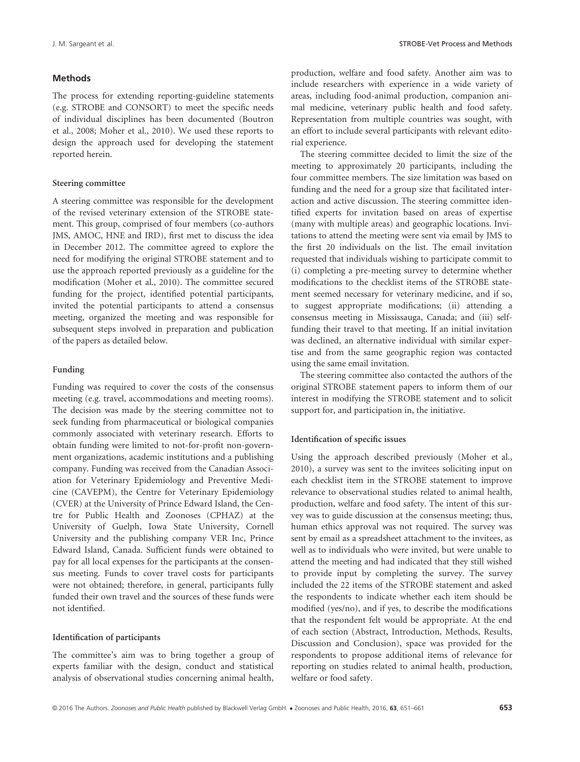## Methods

The process for extending reporting-guideline statements (e.g. STROBE and CONSORT) to meet the specific needs of individual disciplines has been documented (Boutron et al., 2008; Moher et al., 2010). We used these reports to design the approach used for developing the statement reported herein.

#### Steering committee

A steering committee was responsible for the development of the revised veterinary extension of the STROBE statement. This group, comprised of four members (co-authors JMS, AMOC, HNE and IRD), first met to discuss the idea in December 2012. The committee agreed to explore the need for modifying the original STROBE statement and to use the approach reported previously as a guideline for the modification (Moher et al., 2010). The committee secured funding for the project, identified potential participants, invited the potential participants to attend a consensus meeting, organized the meeting and was responsible for subsequent steps involved in preparation and publication of the papers as detailed below.

#### Funding

Funding was required to cover the costs of the consensus meeting (e.g. travel, accommodations and meeting rooms). The decision was made by the steering committee not to seek funding from pharmaceutical or biological companies commonly associated with veterinary research. Efforts to obtain funding were limited to not-for-profit non-government organizations, academic institutions and a publishing company. Funding was received from the Canadian Association for Veterinary Epidemiology and Preventive Medicine (CAVEPM), the Centre for Veterinary Epidemiology (CVER) at the University of Prince Edward Island, the Centre for Public Health and Zoonoses (CPHAZ) at the University of Guelph, Iowa State University, Cornell University and the publishing company VER Inc, Prince Edward Island, Canada. Sufficient funds were obtained to pay for all local expenses for the participants at the consensus meeting. Funds to cover travel costs for participants were not obtained; therefore, in general, participants fully funded their own travel and the sources of these funds were not identified.

#### Identification of participants

The committee's aim was to bring together a group of experts familiar with the design, conduct and statistical analysis of observational studies concerning animal health,

production, welfare and food safety. Another aim was to include researchers with experience in a wide variety of areas, including food-animal production, companion animal medicine, veterinary public health and food safety. Representation from multiple countries was sought, with an effort to include several participants with relevant editorial experience.

The steering committee decided to limit the size of the meeting to approximately 20 participants, including the four committee members. The size limitation was based on funding and the need for a group size that facilitated interaction and active discussion. The steering committee identified experts for invitation based on areas of expertise (many with multiple areas) and geographic locations. Invitations to attend the meeting were sent via email by JMS to the first 20 individuals on the list. The email invitation requested that individuals wishing to participate commit to (i) completing a pre-meeting survey to determine whether modifications to the checklist items of the STROBE statement seemed necessary for veterinary medicine, and if so, to suggest appropriate modifications; (ii) attending a consensus meeting in Mississauga, Canada; and (iii) selffunding their travel to that meeting. If an initial invitation was declined, an alternative individual with similar expertise and from the same geographic region was contacted using the same email invitation.

The steering committee also contacted the authors of the original STROBE statement papers to inform them of our interest in modifying the STROBE statement and to solicit support for, and participation in, the initiative.

### Identification of specific issues

Using the approach described previously (Moher et al., 2010), a survey was sent to the invitees soliciting input on each checklist item in the STROBE statement to improve relevance to observational studies related to animal health, production, welfare and food safety. The intent of this survey was to guide discussion at the consensus meeting; thus, human ethics approval was not required. The survey was sent by email as a spreadsheet attachment to the invitees, as well as to individuals who were invited, but were unable to attend the meeting and had indicated that they still wished to provide input by completing the survey. The survey included the 22 items of the STROBE statement and asked the respondents to indicate whether each item should be modified (yes/no), and if yes, to describe the modifications that the respondent felt would be appropriate. At the end of each section (Abstract, Introduction, Methods, Results, Discussion and Conclusion), space was provided for the respondents to propose additional items of relevance for reporting on studies related to animal health, production, welfare or food safety.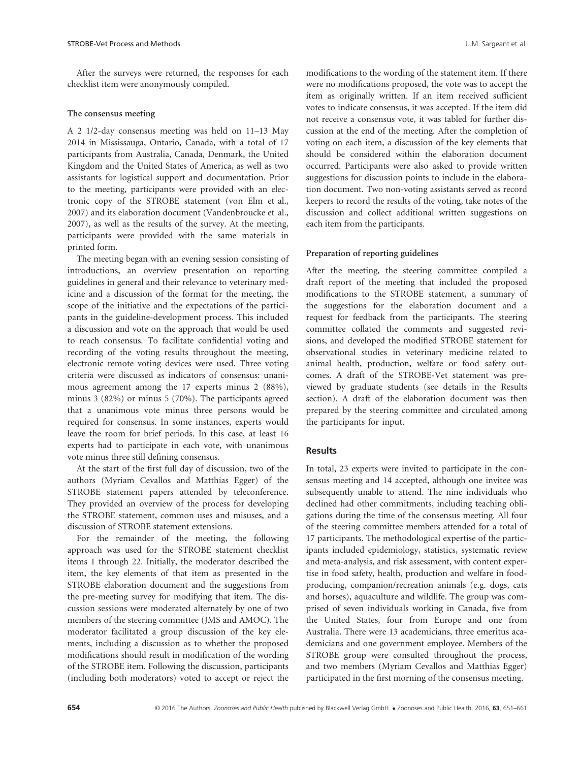After the surveys were returned, the responses for each checklist item were anonymously compiled.

#### The consensus meeting

A 2 1/2-day consensus meeting was held on 11–13 May 2014 in Mississauga, Ontario, Canada, with a total of 17 participants from Australia, Canada, Denmark, the United Kingdom and the United States of America, as well as two assistants for logistical support and documentation. Prior to the meeting, participants were provided with an electronic copy of the STROBE statement (von Elm et al., 2007) and its elaboration document (Vandenbroucke et al., 2007), as well as the results of the survey. At the meeting, participants were provided with the same materials in printed form.

The meeting began with an evening session consisting of introductions, an overview presentation on reporting guidelines in general and their relevance to veterinary medicine and a discussion of the format for the meeting, the scope of the initiative and the expectations of the participants in the guideline-development process. This included a discussion and vote on the approach that would be used to reach consensus. To facilitate confidential voting and recording of the voting results throughout the meeting, electronic remote voting devices were used. Three voting criteria were discussed as indicators of consensus: unanimous agreement among the 17 experts minus 2 (88%), minus 3 (82%) or minus 5 (70%). The participants agreed that a unanimous vote minus three persons would be required for consensus. In some instances, experts would leave the room for brief periods. In this case, at least 16 experts had to participate in each vote, with unanimous vote minus three still defining consensus.

At the start of the first full day of discussion, two of the authors (Myriam Cevallos and Matthias Egger) of the STROBE statement papers attended by teleconference. They provided an overview of the process for developing the STROBE statement, common uses and misuses, and a discussion of STROBE statement extensions.

For the remainder of the meeting, the following approach was used for the STROBE statement checklist items 1 through 22. Initially, the moderator described the item, the key elements of that item as presented in the STROBE elaboration document and the suggestions from the pre-meeting survey for modifying that item. The discussion sessions were moderated alternately by one of two members of the steering committee (JMS and AMOC). The moderator facilitated a group discussion of the key elements, including a discussion as to whether the proposed modifications should result in modification of the wording of the STROBE item. Following the discussion, participants (including both moderators) voted to accept or reject the

modifications to the wording of the statement item. If there were no modifications proposed, the vote was to accept the item as originally written. If an item received sufficient votes to indicate consensus, it was accepted. If the item did not receive a consensus vote, it was tabled for further discussion at the end of the meeting. After the completion of voting on each item, a discussion of the key elements that should be considered within the elaboration document occurred. Participants were also asked to provide written suggestions for discussion points to include in the elaboration document. Two non-voting assistants served as record keepers to record the results of the voting, take notes of the discussion and collect additional written suggestions on each item from the participants.

#### Preparation of reporting guidelines

After the meeting, the steering committee compiled a draft report of the meeting that included the proposed modifications to the STROBE statement, a summary of the suggestions for the elaboration document and a request for feedback from the participants. The steering committee collated the comments and suggested revisions, and developed the modified STROBE statement for observational studies in veterinary medicine related to animal health, production, welfare or food safety outcomes. A draft of the STROBE-Vet statement was previewed by graduate students (see details in the Results section). A draft of the elaboration document was then prepared by the steering committee and circulated among the participants for input.

## Results

In total, 23 experts were invited to participate in the consensus meeting and 14 accepted, although one invitee was subsequently unable to attend. The nine individuals who declined had other commitments, including teaching obligations during the time of the consensus meeting. All four of the steering committee members attended for a total of 17 participants. The methodological expertise of the participants included epidemiology, statistics, systematic review and meta-analysis, and risk assessment, with content expertise in food safety, health, production and welfare in foodproducing, companion/recreation animals (e.g. dogs, cats and horses), aquaculture and wildlife. The group was comprised of seven individuals working in Canada, five from the United States, four from Europe and one from Australia. There were 13 academicians, three emeritus academicians and one government employee. Members of the STROBE group were consulted throughout the process, and two members (Myriam Cevallos and Matthias Egger) participated in the first morning of the consensus meeting.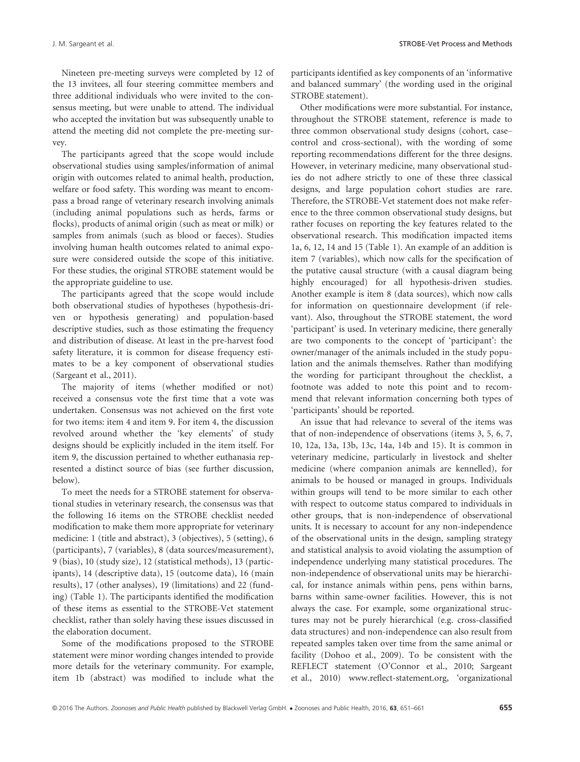Nineteen pre-meeting surveys were completed by 12 of the 13 invitees, all four steering committee members and three additional individuals who were invited to the consensus meeting, but were unable to attend. The individual who accepted the invitation but was subsequently unable to attend the meeting did not complete the pre-meeting survey.

The participants agreed that the scope would include observational studies using samples/information of animal origin with outcomes related to animal health, production, welfare or food safety. This wording was meant to encompass a broad range of veterinary research involving animals (including animal populations such as herds, farms or flocks), products of animal origin (such as meat or milk) or samples from animals (such as blood or faeces). Studies involving human health outcomes related to animal exposure were considered outside the scope of this initiative. For these studies, the original STROBE statement would be the appropriate guideline to use.

The participants agreed that the scope would include both observational studies of hypotheses (hypothesis-driven or hypothesis generating) and population-based descriptive studies, such as those estimating the frequency and distribution of disease. At least in the pre-harvest food safety literature, it is common for disease frequency estimates to be a key component of observational studies (Sargeant et al., 2011).

The majority of items (whether modified or not) received a consensus vote the first time that a vote was undertaken. Consensus was not achieved on the first vote for two items: item 4 and item 9. For item 4, the discussion revolved around whether the 'key elements' of study designs should be explicitly included in the item itself. For item 9, the discussion pertained to whether euthanasia represented a distinct source of bias (see further discussion, below).

To meet the needs for a STROBE statement for observational studies in veterinary research, the consensus was that the following 16 items on the STROBE checklist needed modification to make them more appropriate for veterinary medicine: 1 (title and abstract), 3 (objectives), 5 (setting), 6 (participants), 7 (variables), 8 (data sources/measurement), 9 (bias), 10 (study size), 12 (statistical methods), 13 (participants), 14 (descriptive data), 15 (outcome data), 16 (main results), 17 (other analyses), 19 (limitations) and 22 (funding) (Table 1). The participants identified the modification of these items as essential to the STROBE-Vet statement checklist, rather than solely having these issues discussed in the elaboration document.

Some of the modifications proposed to the STROBE statement were minor wording changes intended to provide more details for the veterinary community. For example, item 1b (abstract) was modified to include what the

participants identified as key components of an 'informative and balanced summary' (the wording used in the original STROBE statement).

Other modifications were more substantial. For instance, throughout the STROBE statement, reference is made to three common observational study designs (cohort, case– control and cross-sectional), with the wording of some reporting recommendations different for the three designs. However, in veterinary medicine, many observational studies do not adhere strictly to one of these three classical designs, and large population cohort studies are rare. Therefore, the STROBE-Vet statement does not make reference to the three common observational study designs, but rather focuses on reporting the key features related to the observational research. This modification impacted items 1a, 6, 12, 14 and 15 (Table 1). An example of an addition is item 7 (variables), which now calls for the specification of the putative causal structure (with a causal diagram being highly encouraged) for all hypothesis-driven studies. Another example is item 8 (data sources), which now calls for information on questionnaire development (if relevant). Also, throughout the STROBE statement, the word 'participant' is used. In veterinary medicine, there generally are two components to the concept of 'participant': the owner/manager of the animals included in the study population and the animals themselves. Rather than modifying the wording for participant throughout the checklist, a footnote was added to note this point and to recommend that relevant information concerning both types of 'participants' should be reported.

An issue that had relevance to several of the items was that of non-independence of observations (items 3, 5, 6, 7, 10, 12a, 13a, 13b, 13c, 14a, 14b and 15). It is common in veterinary medicine, particularly in livestock and shelter medicine (where companion animals are kennelled), for animals to be housed or managed in groups. Individuals within groups will tend to be more similar to each other with respect to outcome status compared to individuals in other groups, that is non-independence of observational units. It is necessary to account for any non-independence of the observational units in the design, sampling strategy and statistical analysis to avoid violating the assumption of independence underlying many statistical procedures. The non-independence of observational units may be hierarchical, for instance animals within pens, pens within barns, barns within same-owner facilities. However, this is not always the case. For example, some organizational structures may not be purely hierarchical (e.g. cross-classified data structures) and non-independence can also result from repeated samples taken over time from the same animal or facility (Dohoo et al., 2009). To be consistent with the REFLECT statement (O'Connor et al., 2010; Sargeant et al., 2010) [www.reflect-statement.org,](http://www.reflect-statement.org) 'organizational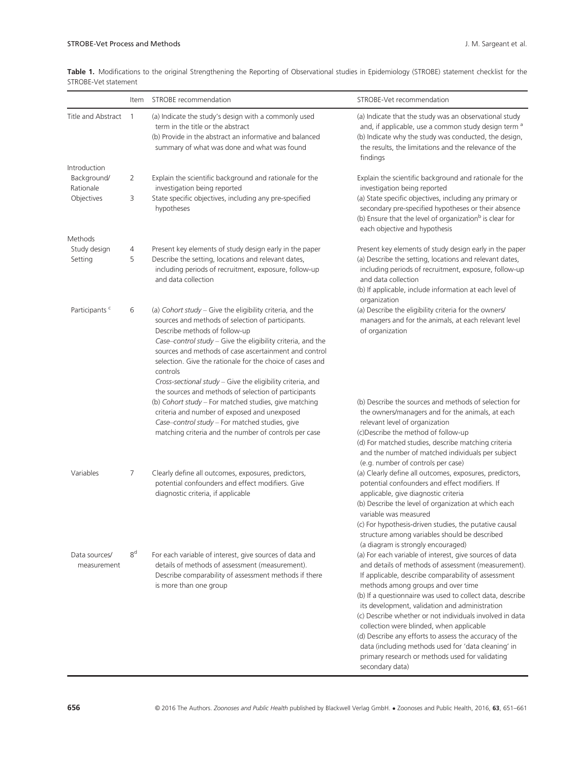| Table 1. Modifications to the original Strengthening the Reporting of Observational studies in Epidemiology (STROBE) statement checklist for the |  |  |  |  |  |  |
|--------------------------------------------------------------------------------------------------------------------------------------------------|--|--|--|--|--|--|
| STROBE-Vet statement                                                                                                                             |  |  |  |  |  |  |

|                                                        | Item           | STROBE recommendation                                                                                                                                                                                                                                                                                                                                                                                                                                                  | STROBE-Vet recommendation                                                                                                                                                                                                                                                                                                                                                                                                                                                                                                                                                                                                 |
|--------------------------------------------------------|----------------|------------------------------------------------------------------------------------------------------------------------------------------------------------------------------------------------------------------------------------------------------------------------------------------------------------------------------------------------------------------------------------------------------------------------------------------------------------------------|---------------------------------------------------------------------------------------------------------------------------------------------------------------------------------------------------------------------------------------------------------------------------------------------------------------------------------------------------------------------------------------------------------------------------------------------------------------------------------------------------------------------------------------------------------------------------------------------------------------------------|
| <b>Title and Abstract</b>                              | 1              | (a) Indicate the study's design with a commonly used<br>term in the title or the abstract<br>(b) Provide in the abstract an informative and balanced<br>summary of what was done and what was found                                                                                                                                                                                                                                                                    | (a) Indicate that the study was an observational study<br>and, if applicable, use a common study design term <sup>a</sup><br>(b) Indicate why the study was conducted, the design,<br>the results, the limitations and the relevance of the<br>findings                                                                                                                                                                                                                                                                                                                                                                   |
| Introduction<br>Background/<br>Rationale<br>Objectives | 2<br>3         | Explain the scientific background and rationale for the<br>investigation being reported<br>State specific objectives, including any pre-specified<br>hypotheses                                                                                                                                                                                                                                                                                                        | Explain the scientific background and rationale for the<br>investigation being reported<br>(a) State specific objectives, including any primary or<br>secondary pre-specified hypotheses or their absence<br>(b) Ensure that the level of organization <sup>b</sup> is clear for<br>each objective and hypothesis                                                                                                                                                                                                                                                                                                         |
| Methods<br>Study design<br>Setting                     | 4<br>5         | Present key elements of study design early in the paper<br>Describe the setting, locations and relevant dates,<br>including periods of recruitment, exposure, follow-up<br>and data collection                                                                                                                                                                                                                                                                         | Present key elements of study design early in the paper<br>(a) Describe the setting, locations and relevant dates,<br>including periods of recruitment, exposure, follow-up<br>and data collection<br>(b) If applicable, include information at each level of                                                                                                                                                                                                                                                                                                                                                             |
| Participants <sup>c</sup>                              | 6              | (a) Cohort study - Give the eligibility criteria, and the<br>sources and methods of selection of participants.<br>Describe methods of follow-up<br>Case-control study - Give the eligibility criteria, and the<br>sources and methods of case ascertainment and control<br>selection. Give the rationale for the choice of cases and<br>controls<br>Cross-sectional study - Give the eligibility criteria, and<br>the sources and methods of selection of participants | organization<br>(a) Describe the eligibility criteria for the owners/<br>managers and for the animals, at each relevant level<br>of organization                                                                                                                                                                                                                                                                                                                                                                                                                                                                          |
|                                                        |                | (b) Cohort study - For matched studies, give matching<br>criteria and number of exposed and unexposed<br>Case-control study - For matched studies, give<br>matching criteria and the number of controls per case                                                                                                                                                                                                                                                       | (b) Describe the sources and methods of selection for<br>the owners/managers and for the animals, at each<br>relevant level of organization<br>(c)Describe the method of follow-up<br>(d) For matched studies, describe matching criteria<br>and the number of matched individuals per subject<br>(e.g. number of controls per case)                                                                                                                                                                                                                                                                                      |
| Variables                                              | 7              | Clearly define all outcomes, exposures, predictors,<br>potential confounders and effect modifiers. Give<br>diagnostic criteria, if applicable                                                                                                                                                                                                                                                                                                                          | (a) Clearly define all outcomes, exposures, predictors,<br>potential confounders and effect modifiers. If<br>applicable, give diagnostic criteria<br>(b) Describe the level of organization at which each<br>variable was measured<br>(c) For hypothesis-driven studies, the putative causal<br>structure among variables should be described<br>(a diagram is strongly encouraged)                                                                                                                                                                                                                                       |
| Data sources/<br>measurement                           | 8 <sup>d</sup> | For each variable of interest, give sources of data and<br>details of methods of assessment (measurement).<br>Describe comparability of assessment methods if there<br>is more than one group                                                                                                                                                                                                                                                                          | (a) For each variable of interest, give sources of data<br>and details of methods of assessment (measurement).<br>If applicable, describe comparability of assessment<br>methods among groups and over time<br>(b) If a questionnaire was used to collect data, describe<br>its development, validation and administration<br>(c) Describe whether or not individuals involved in data<br>collection were blinded, when applicable<br>(d) Describe any efforts to assess the accuracy of the<br>data (including methods used for 'data cleaning' in<br>primary research or methods used for validating<br>secondary data) |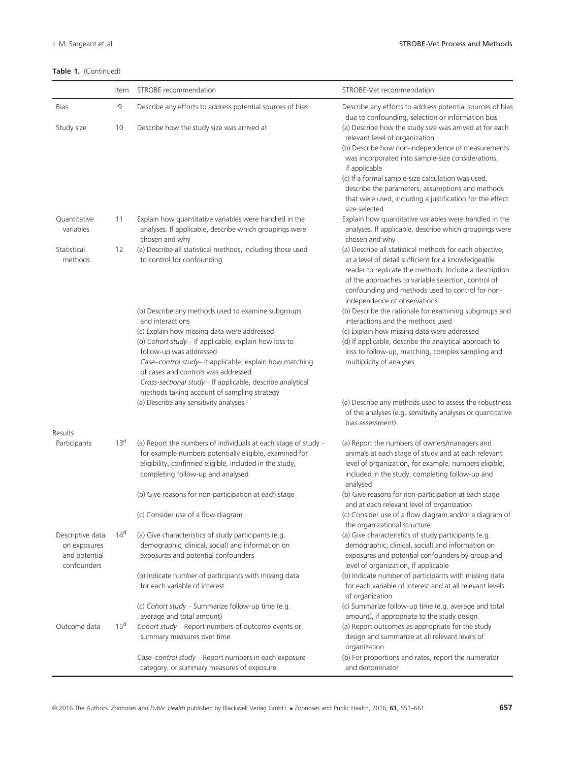## Table 1. (Continued)

|                                                                  | Item            | STROBE recommendation                                                                                                                                                                                                                                                                                                                                                                                                      | STROBE-Vet recommendation                                                                                                                                                                                                                                                                                                                                                                                  |
|------------------------------------------------------------------|-----------------|----------------------------------------------------------------------------------------------------------------------------------------------------------------------------------------------------------------------------------------------------------------------------------------------------------------------------------------------------------------------------------------------------------------------------|------------------------------------------------------------------------------------------------------------------------------------------------------------------------------------------------------------------------------------------------------------------------------------------------------------------------------------------------------------------------------------------------------------|
| <b>Bias</b>                                                      | 9               | Describe any efforts to address potential sources of bias                                                                                                                                                                                                                                                                                                                                                                  | Describe any efforts to address potential sources of bias<br>due to confounding, selection or information bias                                                                                                                                                                                                                                                                                             |
| Study size                                                       | 10              | Describe how the study size was arrived at                                                                                                                                                                                                                                                                                                                                                                                 | (a) Describe how the study size was arrived at for each<br>relevant level of organization<br>(b) Describe how non-independence of measurements<br>was incorporated into sample-size considerations,<br>if applicable<br>(c) If a formal sample-size calculation was used,<br>describe the parameters, assumptions and methods<br>that were used, including a justification for the effect<br>size selected |
| Quantitative<br>variables                                        | 11              | Explain how quantitative variables were handled in the<br>analyses. If applicable, describe which groupings were<br>chosen and why                                                                                                                                                                                                                                                                                         | Explain how quantitative variables were handled in the<br>analyses. If applicable, describe which groupings were<br>chosen and why                                                                                                                                                                                                                                                                         |
| Statistical<br>methods                                           | 12              | (a) Describe all statistical methods, including those used<br>to control for confounding                                                                                                                                                                                                                                                                                                                                   | (a) Describe all statistical methods for each objective,<br>at a level of detail sufficient for a knowledgeable<br>reader to replicate the methods. Include a description<br>of the approaches to variable selection, control of<br>confounding and methods used to control for non-<br>independence of observations                                                                                       |
|                                                                  |                 | (b) Describe any methods used to examine subgroups<br>and interactions<br>(c) Explain how missing data were addressed<br>(d) Cohort study $-$ If applicable, explain how loss to<br>follow-up was addressed<br>Case-control study- If applicable, explain how matching<br>of cases and controls was addressed<br>Cross-sectional study - If applicable, describe analytical<br>methods taking account of sampling strategy | (b) Describe the rationale for examining subgroups and<br>interactions and the methods used<br>(c) Explain how missing data were addressed<br>(d) If applicable, describe the analytical approach to<br>loss to follow-up, matching, complex sampling and<br>multiplicity of analyses                                                                                                                      |
|                                                                  |                 | (e) Describe any sensitivity analyses                                                                                                                                                                                                                                                                                                                                                                                      | (e) Describe any methods used to assess the robustness<br>of the analyses (e.g. sensitivity analyses or quantitative<br>bias assessment)                                                                                                                                                                                                                                                                   |
| Results                                                          |                 |                                                                                                                                                                                                                                                                                                                                                                                                                            |                                                                                                                                                                                                                                                                                                                                                                                                            |
| Participants                                                     | 13 <sup>d</sup> | (a) Report the numbers of individuals at each stage of study -<br>for example numbers potentially eligible, examined for<br>eligibility, confirmed eligible, included in the study,<br>completing follow-up and analysed                                                                                                                                                                                                   | (a) Report the numbers of owners/managers and<br>animals at each stage of study and at each relevant<br>level of organization, for example, numbers eligible,<br>included in the study, completing follow-up and<br>analysed                                                                                                                                                                               |
|                                                                  |                 | (b) Give reasons for non-participation at each stage                                                                                                                                                                                                                                                                                                                                                                       | (b) Give reasons for non-participation at each stage<br>and at each relevant level of organization                                                                                                                                                                                                                                                                                                         |
|                                                                  |                 | (c) Consider use of a flow diagram                                                                                                                                                                                                                                                                                                                                                                                         | (c) Consider use of a flow diagram and/or a diagram of<br>the organizational structure                                                                                                                                                                                                                                                                                                                     |
| Descriptive data<br>on exposures<br>and potential<br>confounders | 14 <sup>d</sup> | (a) Give characteristics of study participants (e.g.<br>demographic, clinical, social) and information on<br>exposures and potential confounders                                                                                                                                                                                                                                                                           | (a) Give characteristics of study participants (e.g.<br>demographic, clinical, social) and information on<br>exposures and potential confounders by group and<br>level of organization, if applicable                                                                                                                                                                                                      |
|                                                                  |                 | (b) Indicate number of participants with missing data<br>for each variable of interest                                                                                                                                                                                                                                                                                                                                     | (b) Indicate number of participants with missing data<br>for each variable of interest and at all relevant levels<br>of organization                                                                                                                                                                                                                                                                       |
|                                                                  |                 | (c) Cohort study – Summarize follow-up time (e.g.<br>average and total amount)                                                                                                                                                                                                                                                                                                                                             | (c) Summarize follow-up time (e.g. average and total<br>amount), if appropriate to the study design                                                                                                                                                                                                                                                                                                        |
| Outcome data                                                     | 15 <sup>d</sup> | Cohort study - Report numbers of outcome events or<br>summary measures over time                                                                                                                                                                                                                                                                                                                                           | (a) Report outcomes as appropriate for the study<br>design and summarize at all relevant levels of<br>organization                                                                                                                                                                                                                                                                                         |
|                                                                  |                 | Case-control study - Report numbers in each exposure<br>category, or summary measures of exposure                                                                                                                                                                                                                                                                                                                          | (b) For proportions and rates, report the numerator<br>and denominator                                                                                                                                                                                                                                                                                                                                     |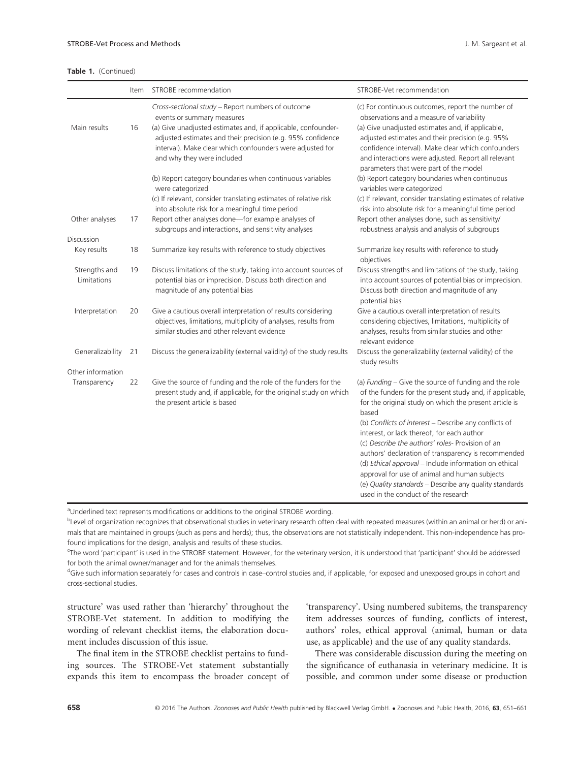#### Table 1. (Continued)

|                              | <b>Item</b> | STROBE recommendation                                                                                                                                                                                                                                                                                      | STROBE-Vet recommendation                                                                                                                                                                                                                                                                                                                                                                                                                                                                                                                                                                                           |
|------------------------------|-------------|------------------------------------------------------------------------------------------------------------------------------------------------------------------------------------------------------------------------------------------------------------------------------------------------------------|---------------------------------------------------------------------------------------------------------------------------------------------------------------------------------------------------------------------------------------------------------------------------------------------------------------------------------------------------------------------------------------------------------------------------------------------------------------------------------------------------------------------------------------------------------------------------------------------------------------------|
| Main results                 | 16          | Cross-sectional study - Report numbers of outcome<br>events or summary measures<br>(a) Give unadjusted estimates and, if applicable, confounder-<br>adjusted estimates and their precision (e.g. 95% confidence<br>interval). Make clear which confounders were adjusted for<br>and why they were included | (c) For continuous outcomes, report the number of<br>observations and a measure of variability<br>(a) Give unadjusted estimates and, if applicable,<br>adjusted estimates and their precision (e.g. 95%<br>confidence interval). Make clear which confounders<br>and interactions were adjusted. Report all relevant<br>parameters that were part of the model                                                                                                                                                                                                                                                      |
|                              |             | (b) Report category boundaries when continuous variables<br>were categorized<br>(c) If relevant, consider translating estimates of relative risk<br>into absolute risk for a meaningful time period                                                                                                        | (b) Report category boundaries when continuous<br>variables were categorized<br>(c) If relevant, consider translating estimates of relative<br>risk into absolute risk for a meaningful time period                                                                                                                                                                                                                                                                                                                                                                                                                 |
| Other analyses               | 17          | Report other analyses done-for example analyses of<br>subgroups and interactions, and sensitivity analyses                                                                                                                                                                                                 | Report other analyses done, such as sensitivity/<br>robustness analysis and analysis of subgroups                                                                                                                                                                                                                                                                                                                                                                                                                                                                                                                   |
| Discussion                   |             |                                                                                                                                                                                                                                                                                                            |                                                                                                                                                                                                                                                                                                                                                                                                                                                                                                                                                                                                                     |
| Key results                  | 18          | Summarize key results with reference to study objectives                                                                                                                                                                                                                                                   | Summarize key results with reference to study<br>objectives                                                                                                                                                                                                                                                                                                                                                                                                                                                                                                                                                         |
| Strengths and<br>Limitations | 19          | Discuss limitations of the study, taking into account sources of<br>potential bias or imprecision. Discuss both direction and<br>magnitude of any potential bias                                                                                                                                           | Discuss strengths and limitations of the study, taking<br>into account sources of potential bias or imprecision.<br>Discuss both direction and magnitude of any<br>potential bias                                                                                                                                                                                                                                                                                                                                                                                                                                   |
| Interpretation               | 20          | Give a cautious overall interpretation of results considering<br>objectives, limitations, multiplicity of analyses, results from<br>similar studies and other relevant evidence                                                                                                                            | Give a cautious overall interpretation of results<br>considering objectives, limitations, multiplicity of<br>analyses, results from similar studies and other<br>relevant evidence                                                                                                                                                                                                                                                                                                                                                                                                                                  |
| Generalizability             | 21          | Discuss the generalizability (external validity) of the study results                                                                                                                                                                                                                                      | Discuss the generalizability (external validity) of the<br>study results                                                                                                                                                                                                                                                                                                                                                                                                                                                                                                                                            |
| Other information            |             |                                                                                                                                                                                                                                                                                                            |                                                                                                                                                                                                                                                                                                                                                                                                                                                                                                                                                                                                                     |
| Transparency                 | 22          | Give the source of funding and the role of the funders for the<br>present study and, if applicable, for the original study on which<br>the present article is based                                                                                                                                        | (a) Funding $-$ Give the source of funding and the role<br>of the funders for the present study and, if applicable,<br>for the original study on which the present article is<br>based<br>(b) Conflicts of interest - Describe any conflicts of<br>interest, or lack thereof, for each author<br>(c) Describe the authors' roles- Provision of an<br>authors' declaration of transparency is recommended<br>(d) Ethical approval - Include information on ethical<br>approval for use of animal and human subjects<br>(e) Quality standards - Describe any quality standards<br>used in the conduct of the research |

aUnderlined text represents modifications or additions to the original STROBE wording.

bLevel of organization recognizes that observational studies in veterinary research often deal with repeated measures (within an animal or herd) or animals that are maintained in groups (such as pens and herds); thus, the observations are not statistically independent. This non-independence has profound implications for the design, analysis and results of these studies.

<sup>c</sup>The word 'participant' is used in the STROBE statement. However, for the veterinary version, it is understood that 'participant' should be addressed for both the animal owner/manager and for the animals themselves.

<sup>d</sup>Give such information separately for cases and controls in case–control studies and, if applicable, for exposed and unexposed groups in cohort and cross-sectional studies.

structure' was used rather than 'hierarchy' throughout the STROBE-Vet statement. In addition to modifying the wording of relevant checklist items, the elaboration document includes discussion of this issue.

The final item in the STROBE checklist pertains to funding sources. The STROBE-Vet statement substantially expands this item to encompass the broader concept of 'transparency'. Using numbered subitems, the transparency item addresses sources of funding, conflicts of interest, authors' roles, ethical approval (animal, human or data use, as applicable) and the use of any quality standards.

There was considerable discussion during the meeting on the significance of euthanasia in veterinary medicine. It is possible, and common under some disease or production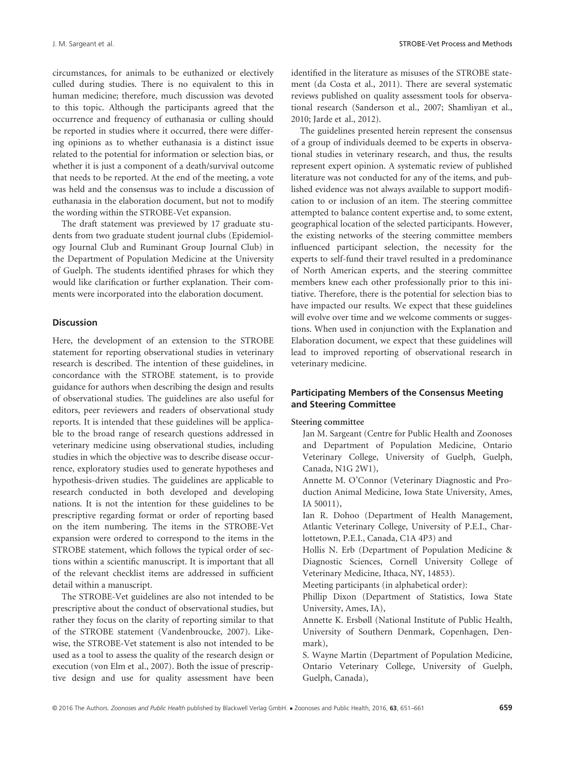circumstances, for animals to be euthanized or electively culled during studies. There is no equivalent to this in human medicine; therefore, much discussion was devoted to this topic. Although the participants agreed that the occurrence and frequency of euthanasia or culling should be reported in studies where it occurred, there were differing opinions as to whether euthanasia is a distinct issue related to the potential for information or selection bias, or whether it is just a component of a death/survival outcome that needs to be reported. At the end of the meeting, a vote was held and the consensus was to include a discussion of euthanasia in the elaboration document, but not to modify the wording within the STROBE-Vet expansion.

The draft statement was previewed by 17 graduate students from two graduate student journal clubs (Epidemiology Journal Club and Ruminant Group Journal Club) in the Department of Population Medicine at the University of Guelph. The students identified phrases for which they would like clarification or further explanation. Their comments were incorporated into the elaboration document.

# Discussion

Here, the development of an extension to the STROBE statement for reporting observational studies in veterinary research is described. The intention of these guidelines, in concordance with the STROBE statement, is to provide guidance for authors when describing the design and results of observational studies. The guidelines are also useful for editors, peer reviewers and readers of observational study reports. It is intended that these guidelines will be applicable to the broad range of research questions addressed in veterinary medicine using observational studies, including studies in which the objective was to describe disease occurrence, exploratory studies used to generate hypotheses and hypothesis-driven studies. The guidelines are applicable to research conducted in both developed and developing nations. It is not the intention for these guidelines to be prescriptive regarding format or order of reporting based on the item numbering. The items in the STROBE-Vet expansion were ordered to correspond to the items in the STROBE statement, which follows the typical order of sections within a scientific manuscript. It is important that all of the relevant checklist items are addressed in sufficient detail within a manuscript.

The STROBE-Vet guidelines are also not intended to be prescriptive about the conduct of observational studies, but rather they focus on the clarity of reporting similar to that of the STROBE statement (Vandenbroucke, 2007). Likewise, the STROBE-Vet statement is also not intended to be used as a tool to assess the quality of the research design or execution (von Elm et al., 2007). Both the issue of prescriptive design and use for quality assessment have been

identified in the literature as misuses of the STROBE statement (da Costa et al., 2011). There are several systematic reviews published on quality assessment tools for observational research (Sanderson et al., 2007; Shamliyan et al., 2010; Jarde et al., 2012).

The guidelines presented herein represent the consensus of a group of individuals deemed to be experts in observational studies in veterinary research, and thus, the results represent expert opinion. A systematic review of published literature was not conducted for any of the items, and published evidence was not always available to support modification to or inclusion of an item. The steering committee attempted to balance content expertise and, to some extent, geographical location of the selected participants. However, the existing networks of the steering committee members influenced participant selection, the necessity for the experts to self-fund their travel resulted in a predominance of North American experts, and the steering committee members knew each other professionally prior to this initiative. Therefore, there is the potential for selection bias to have impacted our results. We expect that these guidelines will evolve over time and we welcome comments or suggestions. When used in conjunction with the Explanation and Elaboration document, we expect that these guidelines will lead to improved reporting of observational research in veterinary medicine.

# Participating Members of the Consensus Meeting and Steering Committee

#### Steering committee

Jan M. Sargeant (Centre for Public Health and Zoonoses and Department of Population Medicine, Ontario Veterinary College, University of Guelph, Guelph, Canada, N1G 2W1),

Annette M. O'Connor (Veterinary Diagnostic and Production Animal Medicine, Iowa State University, Ames, IA 50011),

Ian R. Dohoo (Department of Health Management, Atlantic Veterinary College, University of P.E.I., Charlottetown, P.E.I., Canada, C1A 4P3) and

Hollis N. Erb (Department of Population Medicine & Diagnostic Sciences, Cornell University College of Veterinary Medicine, Ithaca, NY, 14853).

Meeting participants (in alphabetical order):

Phillip Dixon (Department of Statistics, Iowa State University, Ames, IA),

Annette K. Ersbøll (National Institute of Public Health, University of Southern Denmark, Copenhagen, Denmark),

S. Wayne Martin (Department of Population Medicine, Ontario Veterinary College, University of Guelph, Guelph, Canada),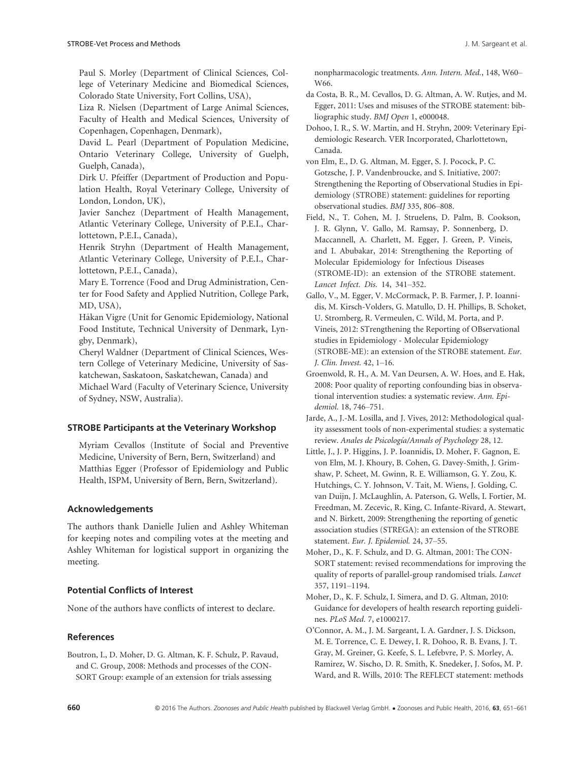Paul S. Morley (Department of Clinical Sciences, College of Veterinary Medicine and Biomedical Sciences, Colorado State University, Fort Collins, USA),

Liza R. Nielsen (Department of Large Animal Sciences, Faculty of Health and Medical Sciences, University of Copenhagen, Copenhagen, Denmark),

David L. Pearl (Department of Population Medicine, Ontario Veterinary College, University of Guelph, Guelph, Canada),

Dirk U. Pfeiffer (Department of Production and Population Health, Royal Veterinary College, University of London, London, UK),

Javier Sanchez (Department of Health Management, Atlantic Veterinary College, University of P.E.I., Charlottetown, P.E.I., Canada),

Henrik Stryhn (Department of Health Management, Atlantic Veterinary College, University of P.E.I., Charlottetown, P.E.I., Canada),

Mary E. Torrence (Food and Drug Administration, Center for Food Safety and Applied Nutrition, College Park, MD, USA),

Hakan Vigre (Unit for Genomic Epidemiology, National Food Institute, Technical University of Denmark, Lyngby, Denmark),

Cheryl Waldner (Department of Clinical Sciences, Western College of Veterinary Medicine, University of Saskatchewan, Saskatoon, Saskatchewan, Canada) and

Michael Ward (Faculty of Veterinary Science, University of Sydney, NSW, Australia).

## STROBE Participants at the Veterinary Workshop

Myriam Cevallos (Institute of Social and Preventive Medicine, University of Bern, Bern, Switzerland) and Matthias Egger (Professor of Epidemiology and Public Health, ISPM, University of Bern, Bern, Switzerland).

## Acknowledgements

The authors thank Danielle Julien and Ashley Whiteman for keeping notes and compiling votes at the meeting and Ashley Whiteman for logistical support in organizing the meeting.

# Potential Conflicts of Interest

None of the authors have conflicts of interest to declare.

## References

Boutron, I., D. Moher, D. G. Altman, K. F. Schulz, P. Ravaud, and C. Group, 2008: Methods and processes of the CON-SORT Group: example of an extension for trials assessing

nonpharmacologic treatments. Ann. Intern. Med., 148, W60– W66.

- da Costa, B. R., M. Cevallos, D. G. Altman, A. W. Rutjes, and M. Egger, 2011: Uses and misuses of the STROBE statement: bibliographic study. BMJ Open 1, e000048.
- Dohoo, I. R., S. W. Martin, and H. Stryhn, 2009: Veterinary Epidemiologic Research. VER Incorporated, Charlottetown, Canada.

von Elm, E., D. G. Altman, M. Egger, S. J. Pocock, P. C. Gotzsche, J. P. Vandenbroucke, and S. Initiative, 2007: Strengthening the Reporting of Observational Studies in Epidemiology (STROBE) statement: guidelines for reporting observational studies. BMJ 335, 806–808.

Field, N., T. Cohen, M. J. Struelens, D. Palm, B. Cookson, J. R. Glynn, V. Gallo, M. Ramsay, P. Sonnenberg, D. Maccannell, A. Charlett, M. Egger, J. Green, P. Vineis, and I. Abubakar, 2014: Strengthening the Reporting of Molecular Epidemiology for Infectious Diseases (STROME-ID): an extension of the STROBE statement. Lancet Infect. Dis. 14, 341–352.

Gallo, V., M. Egger, V. McCormack, P. B. Farmer, J. P. Ioannidis, M. Kirsch-Volders, G. Matullo, D. H. Phillips, B. Schoket, U. Stromberg, R. Vermeulen, C. Wild, M. Porta, and P. Vineis, 2012: STrengthening the Reporting of OBservational studies in Epidemiology - Molecular Epidemiology (STROBE-ME): an extension of the STROBE statement. Eur. J. Clin. Invest. 42, 1–16.

Groenwold, R. H., A. M. Van Deursen, A. W. Hoes, and E. Hak, 2008: Poor quality of reporting confounding bias in observational intervention studies: a systematic review. Ann. Epidemiol. 18, 746–751.

Jarde, A., J.-M. Losilla, and J. Vives, 2012: Methodological quality assessment tools of non-experimental studies: a systematic review. Anales de Psicología/Annals of Psychology 28, 12.

Little, J., J. P. Higgins, J. P. Ioannidis, D. Moher, F. Gagnon, E. von Elm, M. J. Khoury, B. Cohen, G. Davey-Smith, J. Grimshaw, P. Scheet, M. Gwinn, R. E. Williamson, G. Y. Zou, K. Hutchings, C. Y. Johnson, V. Tait, M. Wiens, J. Golding, C. van Duijn, J. McLaughlin, A. Paterson, G. Wells, I. Fortier, M. Freedman, M. Zecevic, R. King, C. Infante-Rivard, A. Stewart, and N. Birkett, 2009: Strengthening the reporting of genetic association studies (STREGA): an extension of the STROBE statement. Eur. J. Epidemiol. 24, 37–55.

Moher, D., K. F. Schulz, and D. G. Altman, 2001: The CON-SORT statement: revised recommendations for improving the quality of reports of parallel-group randomised trials. Lancet 357, 1191–1194.

- Moher, D., K. F. Schulz, I. Simera, and D. G. Altman, 2010: Guidance for developers of health research reporting guidelines. PLoS Med. 7, e1000217.
- O'Connor, A. M., J. M. Sargeant, I. A. Gardner, J. S. Dickson, M. E. Torrence, C. E. Dewey, I. R. Dohoo, R. B. Evans, J. T. Gray, M. Greiner, G. Keefe, S. L. Lefebvre, P. S. Morley, A. Ramirez, W. Sischo, D. R. Smith, K. Snedeker, J. Sofos, M. P. Ward, and R. Wills, 2010: The REFLECT statement: methods